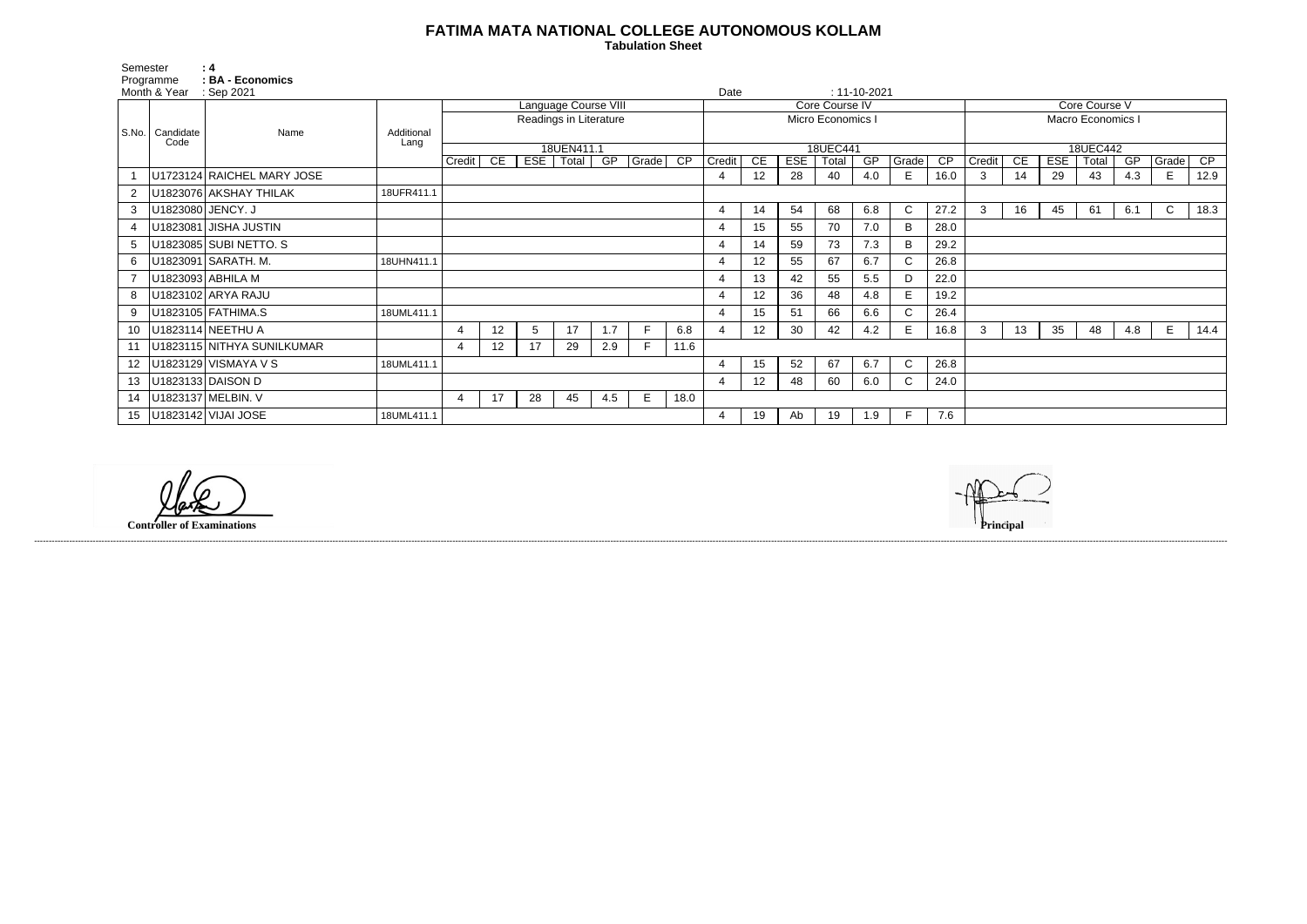## **FATIMA MATA NATIONAL COLLEGE AUTONOMOUS KOLLAM**

 **Tabulation Sheet** 

| Core Course V           |                          |     |       |                        |   |      |  |  |  |  |  |  |
|-------------------------|--------------------------|-----|-------|------------------------|---|------|--|--|--|--|--|--|
| Macro Economics I       |                          |     |       |                        |   |      |  |  |  |  |  |  |
|                         |                          |     |       |                        |   |      |  |  |  |  |  |  |
| 18UEC442<br>GP<br>Grade |                          |     |       |                        |   |      |  |  |  |  |  |  |
| Credit                  | $\overline{\mathsf{CE}}$ | ESE | Total | $\overline{\text{CP}}$ |   |      |  |  |  |  |  |  |
| 3                       | 14                       | 29  | 43    | 4.3                    | E | 12.9 |  |  |  |  |  |  |
|                         |                          |     |       |                        |   |      |  |  |  |  |  |  |
| 3                       | 16                       | 45  | 61    | 6.1                    | C | 18.3 |  |  |  |  |  |  |
|                         |                          |     |       |                        |   |      |  |  |  |  |  |  |
|                         |                          |     |       |                        |   |      |  |  |  |  |  |  |
|                         |                          |     |       |                        |   |      |  |  |  |  |  |  |
|                         |                          |     |       |                        |   |      |  |  |  |  |  |  |
|                         |                          |     |       |                        |   |      |  |  |  |  |  |  |
|                         |                          |     |       |                        |   |      |  |  |  |  |  |  |
| 3                       | 13                       | 35  | 48    | 4.8                    | E | 14.4 |  |  |  |  |  |  |
|                         |                          |     |       |                        |   |      |  |  |  |  |  |  |
|                         |                          |     |       |                        |   |      |  |  |  |  |  |  |
|                         |                          |     |       |                        |   |      |  |  |  |  |  |  |
|                         |                          |     |       |                        |   |      |  |  |  |  |  |  |
|                         |                          |     |       |                        |   |      |  |  |  |  |  |  |

| Semester        | Programme<br>Month & Year          | : 4<br>: BA - Economics<br>: Sep 2021 |                    |                        |                 |     |                     |                      |       |                 | Date   |                 |              |                   | $: 11 - 10 - 2021$ |              |                 |        |    |            |                          |     |              |      |
|-----------------|------------------------------------|---------------------------------------|--------------------|------------------------|-----------------|-----|---------------------|----------------------|-------|-----------------|--------|-----------------|--------------|-------------------|--------------------|--------------|-----------------|--------|----|------------|--------------------------|-----|--------------|------|
|                 |                                    |                                       |                    |                        |                 |     |                     | Language Course VIII |       |                 |        |                 |              | Core Course IV    |                    |              |                 |        |    |            | Core Course V            |     |              |      |
|                 |                                    |                                       |                    | Readings in Literature |                 |     |                     |                      |       |                 |        |                 |              | Micro Economics I |                    |              |                 |        |    |            | <b>Macro Economics I</b> |     |              |      |
|                 | S.No.   Candidate<br>Code          | Name                                  | Additional<br>Lang |                        |                 |     |                     |                      |       |                 |        |                 |              |                   |                    |              |                 |        |    |            |                          |     |              |      |
|                 |                                    |                                       |                    | Credit                 | CE              | EST | 18UEN411.1<br>Total | GP                   | Grade | $\overline{CP}$ | Credit | $\overline{CE}$ | <b>ESE</b>   | 18UEC441<br>Total | GP                 | Grade        | $\overline{CP}$ | Credit | CE | <b>ESE</b> | 18UEC442<br>Total        | GP  | Grade        | CP   |
|                 |                                    | U1723124 RAICHEL MARY JOSE            |                    |                        |                 |     |                     |                      |       |                 | 4      | 12              | 28           | 40                | 4.0                | E.           | 16.0            | 3      | 14 | 29         | 43                       | 4.3 | E            | 12.9 |
| 2               |                                    | U1823076 AKSHAY THILAK                | 18UFR411.1         |                        |                 |     |                     |                      |       |                 |        |                 |              |                   |                    |              |                 |        |    |            |                          |     |              |      |
| 3               |                                    | U1823080 JENCY. J                     |                    |                        |                 |     |                     |                      |       |                 | 4      | 14              | 54           | 68                | 6.8                | $\mathsf{C}$ | 27.2            | 3      | 16 | 45         | 61                       | 6.1 | $\mathsf{C}$ | 18.3 |
| $\overline{4}$  |                                    | U1823081 JISHA JUSTIN                 |                    |                        |                 |     |                     |                      |       |                 |        | 15              | 55           | 70                | 7.0                | B            | 28.0            |        |    |            |                          |     |              |      |
| 5               |                                    | U1823085 SUBI NETTO. S                |                    |                        |                 |     |                     |                      |       |                 |        | 14              | 59           | 73                | 7.3                | B            | 29.2            |        |    |            |                          |     |              |      |
| 6               |                                    | U1823091 SARATH. M.                   | 18UHN411.1         |                        |                 |     |                     |                      |       |                 |        | 12              | 55           | 67                | 6.7                | $\mathbf{C}$ | 26.8            |        |    |            |                          |     |              |      |
|                 |                                    | U1823093 ABHILA M                     |                    |                        |                 |     |                     |                      |       |                 |        | 13              | 42           | 55                | 5.5                |              | 22.0            |        |    |            |                          |     |              |      |
| 8               |                                    | U1823102 ARYA RAJU                    |                    |                        |                 |     |                     |                      |       |                 |        | 12 <sup>2</sup> | 36           | 48                | 4.8                | E.           | 19.2            |        |    |            |                          |     |              |      |
| 9               |                                    | U1823105 FATHIMA.S                    | 18UML411.1         |                        |                 |     |                     |                      |       |                 |        | 15              | 51           | 66                | 6.6                | C.           | 26.4            |        |    |            |                          |     |              |      |
| 10              |                                    | U1823114 NEETHU A                     |                    |                        | 12              | 5   | 17                  | 1.7                  | F     | 6.8             |        | 12 <sub>2</sub> | 30           | 42                | 4.2                | Е.           | 16.8            | 3      | 13 | 35         | 48                       | 4.8 | E            | 14.4 |
| 11              |                                    | U1823115 NITHYA SUNILKUMAR            |                    | 4                      | 12 <sub>2</sub> | 17  | 29                  | 2.9                  | F.    | 11.6            |        |                 |              |                   |                    |              |                 |        |    |            |                          |     |              |      |
| 12              | U1823129 VISMAYA V S<br>18UML411.1 |                                       |                    |                        |                 |     |                     | $\overline{4}$       | 15    | 52              | 67     | 6.7             | $\mathsf{C}$ | 26.8              |                    |              |                 |        |    |            |                          |     |              |      |
| 13              |                                    | U1823133 DAISON D                     |                    |                        |                 |     |                     |                      |       |                 |        | 12 <sup>2</sup> | 48           | 60                | 6.0                | C.           | 24.0            |        |    |            |                          |     |              |      |
| 14              |                                    | U1823137 MELBIN. V                    |                    | 4                      | 17              | 28  | 45                  | 4.5                  | E     | 18.0            |        |                 |              |                   |                    |              |                 |        |    |            |                          |     |              |      |
| 15 <sub>1</sub> |                                    | U1823142 VIJAI JOSE                   | 18UML411.1         |                        |                 |     |                     |                      |       |                 |        | 19              | Ab           | 19                | 1.9                | F            | 7.6             |        |    |            |                          |     |              |      |

**Controller of Examinations Principal**

------------------------------------------------------------------------------------------------------------------------------------------------------------------------------------------------------------------------------------------------------------------------------------------------------------------------------------------------------------------------------------------------------------------------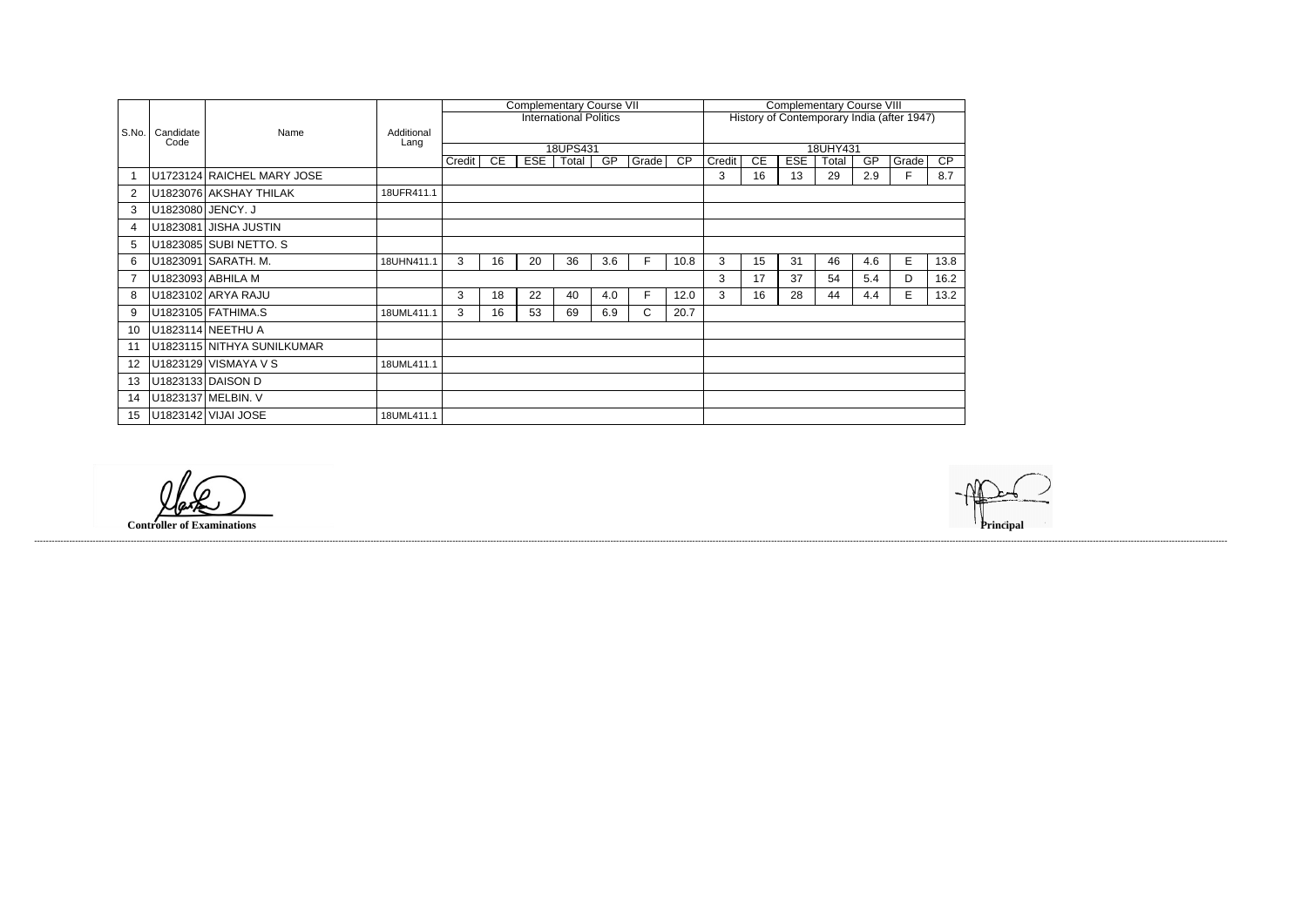|                |                   |                            |                    |        |    |            | <b>Complementary Course VII</b> |     |       | <b>Complementary Course VIII</b> |                                            |           |            |       |     |       |      |  |  |
|----------------|-------------------|----------------------------|--------------------|--------|----|------------|---------------------------------|-----|-------|----------------------------------|--------------------------------------------|-----------|------------|-------|-----|-------|------|--|--|
|                |                   |                            |                    |        |    |            | <b>International Politics</b>   |     |       |                                  | History of Contemporary India (after 1947) |           |            |       |     |       |      |  |  |
| S.No.          | Candidate<br>Code | Name                       | Additional<br>Lang |        |    |            |                                 |     |       |                                  |                                            |           |            |       |     |       |      |  |  |
|                |                   |                            |                    |        |    |            | 18UPS431                        |     |       |                                  | 18UHY431                                   |           |            |       |     |       |      |  |  |
|                |                   |                            |                    | Credit | CE | <b>ESE</b> | Total                           | GP  | Grade | <b>CP</b>                        | Credit                                     | <b>CE</b> | <b>ESE</b> | Total | GP  | Grade | CP   |  |  |
|                |                   | U1723124 RAICHEL MARY JOSE |                    |        |    |            |                                 |     |       |                                  | 3                                          | 16        | 13         | 29    | 2.9 | F     | 8.7  |  |  |
| $\overline{2}$ |                   | U1823076 AKSHAY THILAK     | 18UFR411.1         |        |    |            |                                 |     |       |                                  |                                            |           |            |       |     |       |      |  |  |
| 3              |                   | U1823080 JENCY. J          |                    |        |    |            |                                 |     |       |                                  |                                            |           |            |       |     |       |      |  |  |
| 4              |                   | U1823081 JISHA JUSTIN      |                    |        |    |            |                                 |     |       |                                  |                                            |           |            |       |     |       |      |  |  |
| 5              |                   | U1823085 SUBI NETTO. S     |                    |        |    |            |                                 |     |       |                                  |                                            |           |            |       |     |       |      |  |  |
| 6              |                   | U1823091 SARATH. M.        | 18UHN411.1         | 3      | 16 | 20         | 36                              | 3.6 | F.    | 10.8                             | 3                                          | 15        | 31         | 46    | 4.6 | E     | 13.8 |  |  |
|                |                   | U1823093 ABHILA M          |                    |        |    |            |                                 |     |       |                                  | 3                                          | 17        | 37         | 54    | 5.4 | D     | 16.2 |  |  |
| 8              |                   | U1823102 ARYA RAJU         |                    | 3      | 18 | 22         | 40                              | 4.0 | F.    | 12.0                             | 3                                          | 16        | 28         | 44    | 4.4 | E.    | 13.2 |  |  |
| 9              |                   | U1823105 FATHIMA.S         | 18UML411.1         | 3      | 16 | 53         | 69                              | 6.9 | C     | 20.7                             |                                            |           |            |       |     |       |      |  |  |
| 10             |                   | U1823114 NEETHU A          |                    |        |    |            |                                 |     |       |                                  |                                            |           |            |       |     |       |      |  |  |
|                |                   | U1823115 NITHYA SUNILKUMAR |                    |        |    |            |                                 |     |       |                                  |                                            |           |            |       |     |       |      |  |  |
| 12             |                   | U1823129 VISMAYA V S       | 18UML411.1         |        |    |            |                                 |     |       |                                  |                                            |           |            |       |     |       |      |  |  |
| 13             |                   | U1823133 DAISON D          |                    |        |    |            |                                 |     |       |                                  |                                            |           |            |       |     |       |      |  |  |
| 14             |                   | U1823137 MELBIN. V         |                    |        |    |            |                                 |     |       |                                  |                                            |           |            |       |     |       |      |  |  |
| 15             |                   | U1823142 VIJAI JOSE        | 18UML411.1         |        |    |            |                                 |     |       |                                  |                                            |           |            |       |     |       |      |  |  |

**Controller of Examinations** 



------------------------------------------------------------------------------------------------------------------------------------------------------------------------------------------------------------------------------------------------------------------------------------------------------------------------------------------------------------------------------------------------------------------------